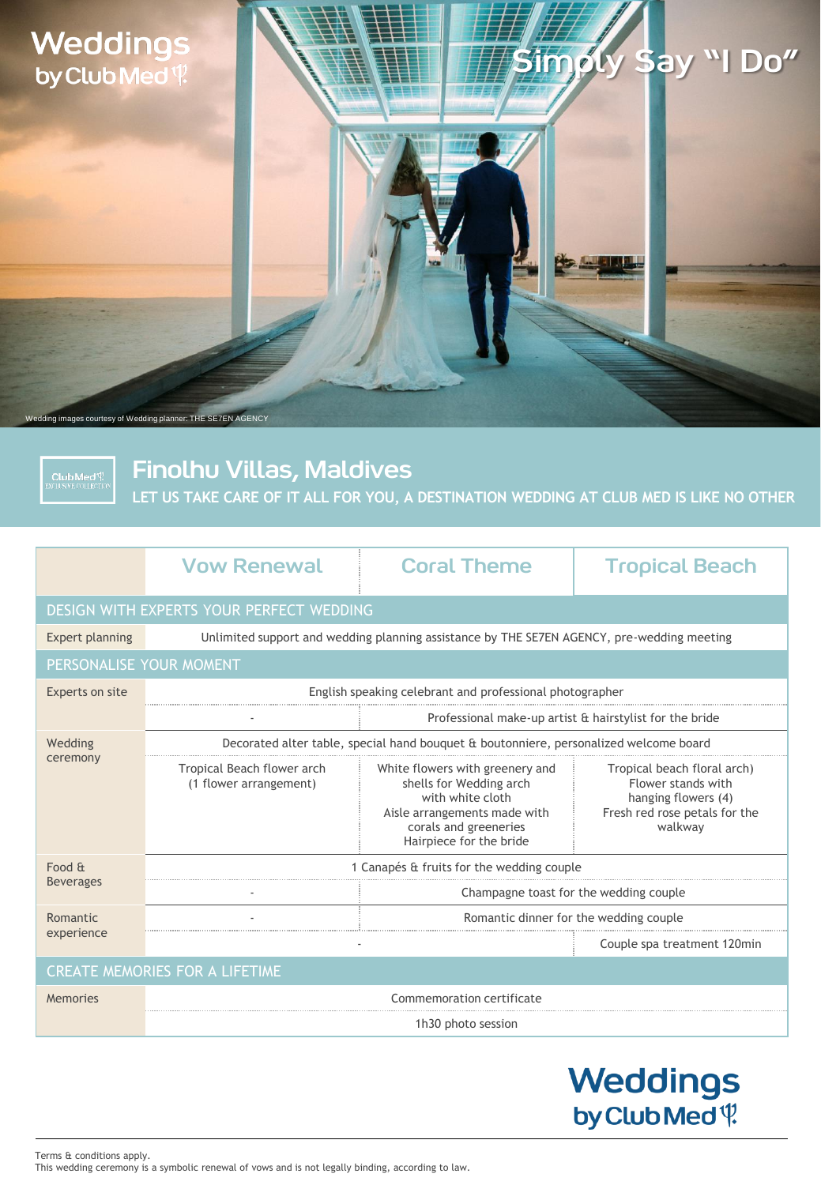### **Weddings** by Club Med<sup>{1}</sup>

# Simply Say "I Do"

dding images courtesy of Wedding planner: THE SE7EN AGENCY

**Club Med<sup>(</sup>)?**<br>EXCLUSIVE COLLECTION

Finolhu Villas, Maldives

**LET US TAKE CARE OF IT ALL FOR YOU, A DESTINATION WEDDING AT CLUB MED IS LIKE NO OTHER**

|                                          | <b>Vow Renewal</b>                                                                         | <b>Coral Theme</b>                                                                                                                                                 | <b>Tropical Beach</b>                                                                                                |
|------------------------------------------|--------------------------------------------------------------------------------------------|--------------------------------------------------------------------------------------------------------------------------------------------------------------------|----------------------------------------------------------------------------------------------------------------------|
| DESIGN WITH EXPERTS YOUR PERFECT WEDDING |                                                                                            |                                                                                                                                                                    |                                                                                                                      |
| Expert planning                          | Unlimited support and wedding planning assistance by THE SE7EN AGENCY, pre-wedding meeting |                                                                                                                                                                    |                                                                                                                      |
| PERSONALISE YOUR MOMENT                  |                                                                                            |                                                                                                                                                                    |                                                                                                                      |
| Experts on site                          | English speaking celebrant and professional photographer                                   |                                                                                                                                                                    |                                                                                                                      |
|                                          |                                                                                            | Professional make-up artist & hairstylist for the bride                                                                                                            |                                                                                                                      |
| Wedding<br>ceremony                      | Decorated alter table, special hand bouquet & boutonniere, personalized welcome board      |                                                                                                                                                                    |                                                                                                                      |
|                                          | Tropical Beach flower arch<br>(1 flower arrangement)                                       | White flowers with greenery and<br>shells for Wedding arch<br>with white cloth<br>Aisle arrangements made with<br>corals and greeneries<br>Hairpiece for the bride | Tropical beach floral arch)<br>Flower stands with<br>hanging flowers (4)<br>Fresh red rose petals for the<br>walkway |
| Food &<br><b>Beverages</b>               | 1 Canapés & fruits for the wedding couple                                                  |                                                                                                                                                                    |                                                                                                                      |
|                                          |                                                                                            | Champagne toast for the wedding couple                                                                                                                             |                                                                                                                      |
| Romantic<br>experience                   | Romantic dinner for the wedding couple                                                     |                                                                                                                                                                    |                                                                                                                      |
|                                          |                                                                                            |                                                                                                                                                                    | Couple spa treatment 120min                                                                                          |
| <b>CREATE MEMORIES FOR A LIFETIME</b>    |                                                                                            |                                                                                                                                                                    |                                                                                                                      |
| Memories                                 | Commemoration certificate                                                                  |                                                                                                                                                                    |                                                                                                                      |
|                                          | 1h30 photo session                                                                         |                                                                                                                                                                    |                                                                                                                      |

## **Weddings** by Club Med<sup>q</sup>

Terms & conditions apply. This wedding ceremony is a symbolic renewal of vows and is not legally binding, according to law.